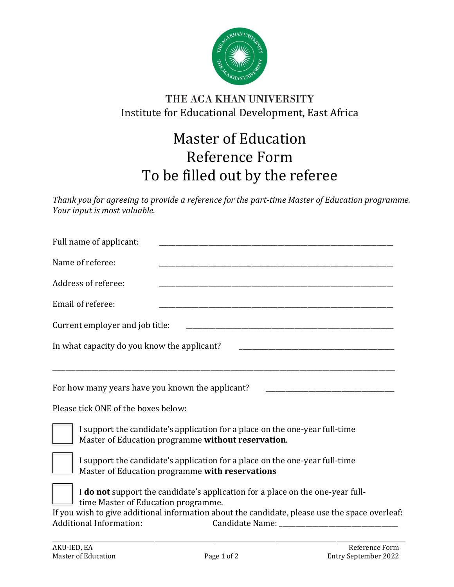

## THE AGA KHAN UNIVERSITY Institute for Educational Development, East Africa

## Master of Education Reference Form To be filled out by the referee

*Thank you for agreeing to provide a reference for the part-time Master of Education programme. Your input is most valuable.*

| Full name of applicant:                                                                                                           |
|-----------------------------------------------------------------------------------------------------------------------------------|
| Name of referee:                                                                                                                  |
| Address of referee:                                                                                                               |
| Email of referee:                                                                                                                 |
| Current employer and job title:                                                                                                   |
| In what capacity do you know the applicant?                                                                                       |
| For how many years have you known the applicant?                                                                                  |
| Please tick ONE of the boxes below:                                                                                               |
| I support the candidate's application for a place on the one-year full-time<br>Master of Education programme without reservation. |
| I support the candidate's application for a place on the one-year full-time<br>Master of Education programme with reservations    |
| I do not support the candidate's application for a place on the one-year full-<br>time Master of Education programme.             |
| If you wish to give additional information about the candidate, please use the space overleaf:<br><b>Additional Information:</b>  |

\_\_\_\_\_\_\_\_\_\_\_\_\_\_\_\_\_\_\_\_\_\_\_\_\_\_\_\_\_\_\_\_\_\_\_\_\_\_\_\_\_\_\_\_\_\_\_\_\_\_\_\_\_\_\_\_\_\_\_\_\_\_\_\_\_\_\_\_\_\_\_\_\_\_\_\_\_\_\_\_\_\_\_\_\_\_\_\_\_\_\_\_\_\_\_\_\_\_\_\_\_\_\_\_\_\_\_\_\_\_\_\_\_\_\_\_\_\_\_\_\_\_\_\_\_\_\_\_